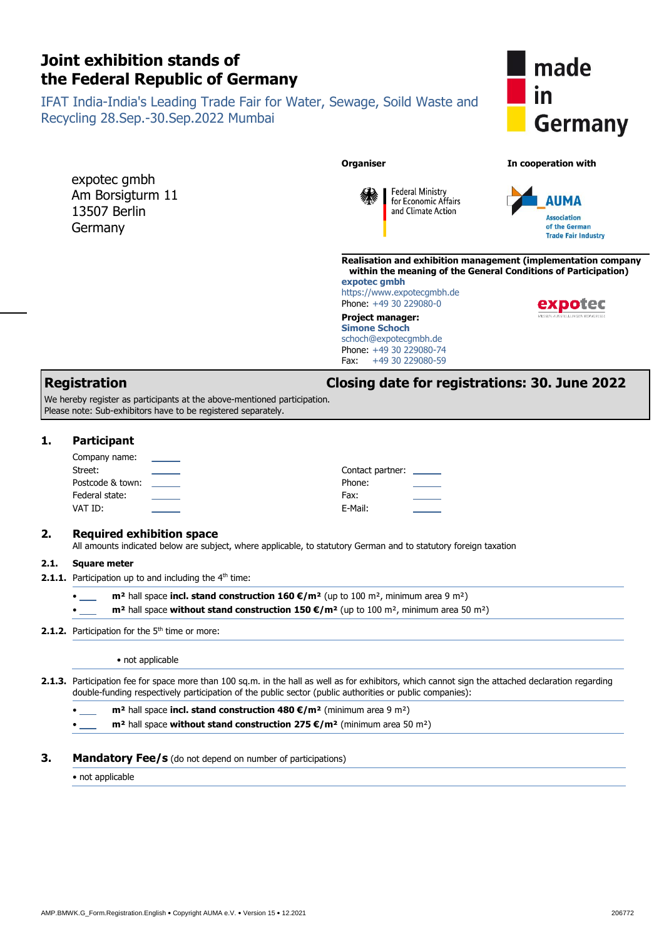# **Joint exhibition stands of the Federal Republic of Germany**

IFAT India-India's Leading Trade Fair for Water, Sewage, Soild Waste and Recycling 28.Sep.-30.Sep.2022 Mumbai

expotec gmbh Am Borsigturm 11 13507 Berlin Germany



#### **Organiser In cooperation with**



**Realisation and exhibition management (implementation company within the meaning of the General Conditions of Participation) expotec gmbh**

https://www.expotecgmbh.de Phone: +49 30 229080-0

**Federal Ministry** for Economic Affairs

and Climate Action

<span id="page-0-7"></span><span id="page-0-6"></span><span id="page-0-5"></span><span id="page-0-4"></span>**Project manager: Simone Schoch** schoch@expotecgmbh.de Phone: +49 30 229080-74<br>Fax: +49 30 229080-59 Fax: +49 30 229080-59

# **YDOter**

### **Registration Closing date for registrations: 30. June 2022**

We hereby register as participants at the above-mentioned participation. Please note: Sub-exhibitors have to be registered separately.

#### **1. Participant**

<span id="page-0-3"></span><span id="page-0-2"></span><span id="page-0-1"></span><span id="page-0-0"></span>

| Company name:    | $\overline{\phantom{a}}$ |                         |                                                                                                                                                                                                                                                                                                                                                                                                                                                                            |
|------------------|--------------------------|-------------------------|----------------------------------------------------------------------------------------------------------------------------------------------------------------------------------------------------------------------------------------------------------------------------------------------------------------------------------------------------------------------------------------------------------------------------------------------------------------------------|
| Street:          |                          | Contact partner: ______ |                                                                                                                                                                                                                                                                                                                                                                                                                                                                            |
| Postcode & town: |                          | Phone:                  | $\frac{1}{2} \left( \frac{1}{2} \right) \left( \frac{1}{2} \right) \left( \frac{1}{2} \right) \left( \frac{1}{2} \right) \left( \frac{1}{2} \right) \left( \frac{1}{2} \right) \left( \frac{1}{2} \right) \left( \frac{1}{2} \right) \left( \frac{1}{2} \right) \left( \frac{1}{2} \right) \left( \frac{1}{2} \right) \left( \frac{1}{2} \right) \left( \frac{1}{2} \right) \left( \frac{1}{2} \right) \left( \frac{1}{2} \right) \left( \frac{1}{2} \right) \left( \frac$ |
| Federal state:   |                          | Fax:                    | ____                                                                                                                                                                                                                                                                                                                                                                                                                                                                       |
| VAT ID:          |                          | E-Mail:                 |                                                                                                                                                                                                                                                                                                                                                                                                                                                                            |

#### **2. Required exhibition space**

All amounts indicated below are subject, where applicable, to statutory German and to statutory foreign taxation

#### **2.1. Square meter**

**2.1.1.** Participation up to and including the 4<sup>th</sup> time:

• **m²** hall space **incl. stand construction 160 €/m²** (up to 100 m², minimum area 9 m²)

• **m²** hall space **without stand construction 150 €/m²** (up to 100 m², minimum area 50 m²)

#### **2.1.2.** Participation for the 5<sup>th</sup> time or more:

• not applicable

- **2.1.3.** Participation fee for space more than 100 sq.m. in the hall as well as for exhibitors, which cannot sign the attached declaration regarding double-funding respectively participation of the public sector (public authorities or public companies):
	- **m²** hall space **incl. stand construction 480 €/m²** (minimum area 9 m²)

• **m²** hall space **without stand construction 275 €/m²** (minimum area 50 m²)

#### **3. Mandatory Fee/s** (do not depend on number of participations)

 $\bullet$  not applicable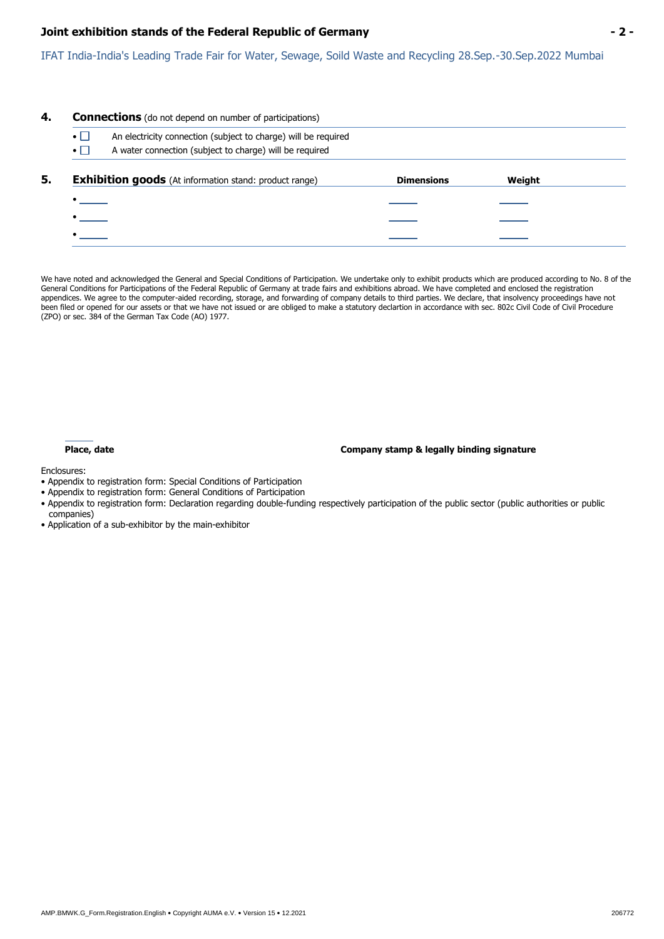#### **Joint exhibition stands of the Federal Republic of Germany - 2 -**

IFAT India-India's Leading Trade Fair for Water, Sewage, Soild Waste and Recycling 28.Sep.-30.Sep.2022 Mumbai

# **4. Connections** (do not depend on number of participations) •  $\Box$  An electricity connection (subject to charge) will be required  $\bullet$   $\Box$  A water connection (subject to charge) will be required **5. Exhibition goods** (At information stand: product range) **Dimensions Weight** • • •

We have noted and acknowledged the General and Special Conditions of Participation. We undertake only to exhibit products which are produced according to No. 8 of the General Conditions for Participations of the Federal Republic of Germany at trade fairs and exhibitions abroad. We have completed and enclosed the registration appendices. We agree to the computer-aided recording, storage, and forwarding of company details to third parties. We declare, that insolvency proceedings have not been filed or opened for our assets or that we have not issued or are obliged to make a statutory declartion in accordance with sec. 802c Civil Code of Civil Procedure (ZPO) or sec. 384 of the German Tax Code (AO) 1977.

**Place, date Company stamp & legally binding signature**

Enclosures:

- Appendix to registration form: Special Conditions of Participation
- Appendix to registration form: General Conditions of Participation
- Appendix to registration form: Declaration regarding double-funding respectively participation of the public sector (public authorities or public companies)
- Application of a sub-exhibitor by the main-exhibitor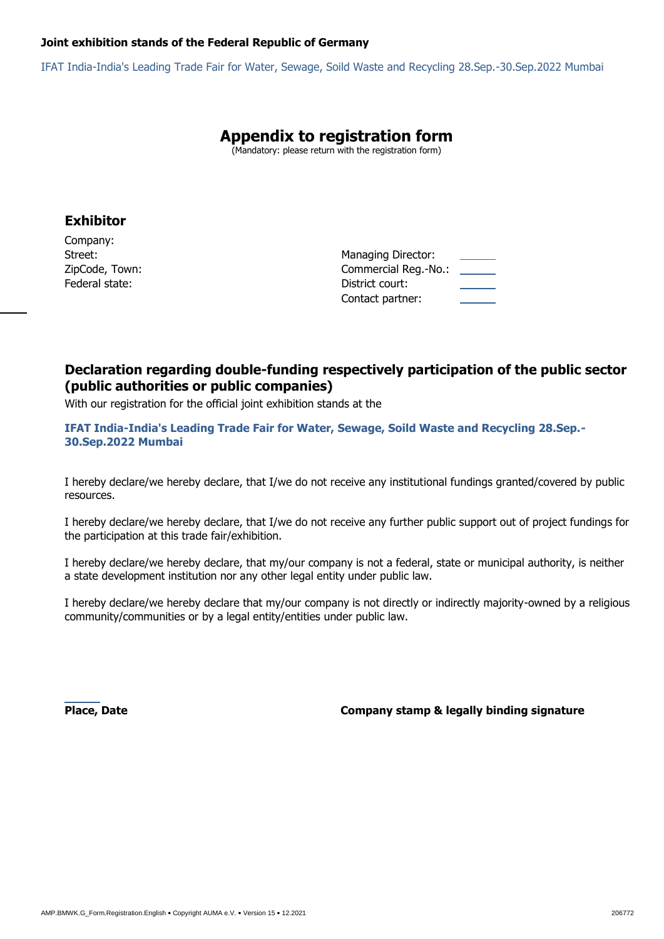#### **Joint exhibition stands of the Federal Republic of Germany**

IFAT India-India's Leading Trade Fair for Water, Sewage, Soild Waste and Recycling 28.Sep.-30.Sep.2022 Mumbai

# **Appendix to registration form**

(Mandatory: please return with the registration form)

## **Exhibitor**

Company: Federal state:District court:

Street:*Managing Director: Managing Director:* ZipCode, Town:Commercial Reg.-No.: Contact partner:

## **Declaration regarding double-funding respectively participation of the public sector (public authorities or public companies)**

With our registration for the official joint exhibition stands at the

**IFAT India-India's Leading Trade Fair for Water, Sewage, Soild Waste and Recycling 28.Sep.- 30.Sep.2022 Mumbai**

I hereby declare/we hereby declare, that I/we do not receive any institutional fundings granted/covered by public resources.

I hereby declare/we hereby declare, that I/we do not receive any further public support out of project fundings for the participation at this trade fair/exhibition.

I hereby declare/we hereby declare, that my/our company is not a federal, state or municipal authority, is neither a state development institution nor any other legal entity under public law.

I hereby declare/we hereby declare that my/our company is not directly or indirectly majority-owned by a religious community/communities or by a legal entity/entities under public law.

**Place, Date Company stamp & legally binding signature**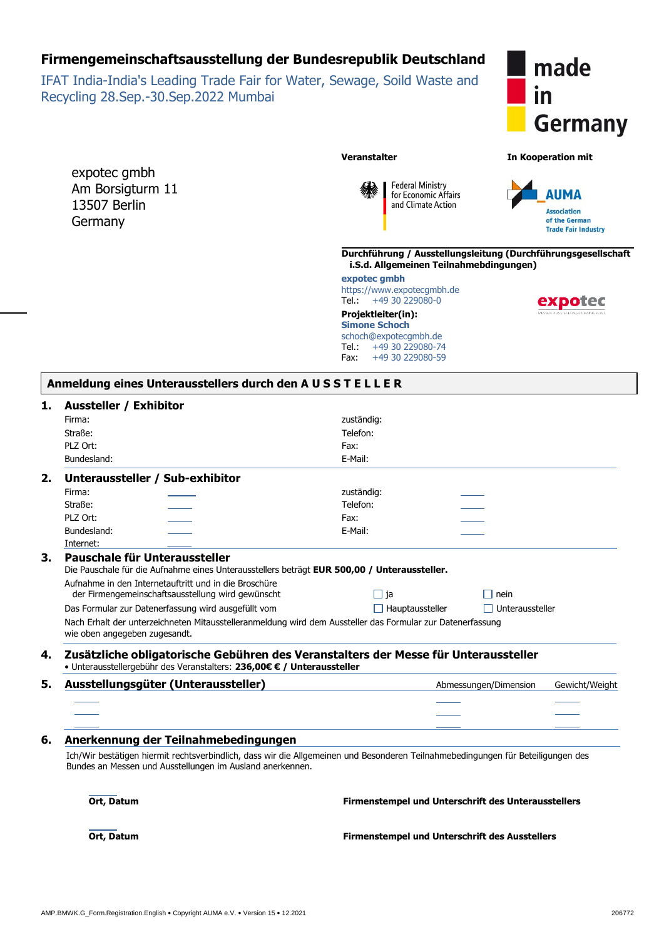# **Firmengemeinschaftsausstellung der Bundesrepublik Deutschland**

IFAT India-India's Leading Trade Fair for Water, Sewage, Soild Waste and Recycling 28.Sep.-30.Sep.2022 Mumbai

expotec gmbh Am Borsigturm 11 13507 Berlin **Germany** 



**Veranstalter In Kooperation mit**

**Federal Ministry** for Economic Affairs and Climate Action



**Durchführung / Ausstellungsleitung (Durchführungsgesellschaft i.S.d. Allgemeinen Teilnahmebdingungen)**

**expotec gmbh** https://www.expotecgmbh.de<br>Tel.: +49 30 229080-0  $+49$  30 229080-0

**Projektleiter(in): Simone Schoch** schoch@expotecgmbh.de Tel.: +49 30 229080-74 Fax: +49 30 229080-59

| . |  |  |
|---|--|--|

#### **1. Aussteller / Exhibitor**

|    | Firma:                              |                                                                        | zuständig:                                                                                                                       |                        |                |
|----|-------------------------------------|------------------------------------------------------------------------|----------------------------------------------------------------------------------------------------------------------------------|------------------------|----------------|
|    | Straße:                             |                                                                        | Telefon:                                                                                                                         |                        |                |
|    | PLZ Ort:                            |                                                                        | Fax:                                                                                                                             |                        |                |
|    | Bundesland:                         |                                                                        | E-Mail:                                                                                                                          |                        |                |
| 2. |                                     | Unteraussteller / Sub-exhibitor                                        |                                                                                                                                  |                        |                |
|    | Firma:                              |                                                                        | zuständig:                                                                                                                       |                        |                |
|    | Straße:                             |                                                                        | Telefon:                                                                                                                         |                        |                |
|    | PLZ Ort:                            |                                                                        | Fax:                                                                                                                             |                        |                |
|    | Bundesland:                         |                                                                        | E-Mail:                                                                                                                          |                        |                |
|    | Internet:                           |                                                                        |                                                                                                                                  |                        |                |
| 3. |                                     | Pauschale für Unteraussteller                                          |                                                                                                                                  |                        |                |
|    |                                     |                                                                        | Die Pauschale für die Aufnahme eines Unterausstellers beträgt EUR 500,00 / Unteraussteller.                                      |                        |                |
|    |                                     | Aufnahme in den Internetauftritt und in die Broschüre                  |                                                                                                                                  |                        |                |
|    |                                     | der Firmengemeinschaftsausstellung wird gewünscht                      | $\Box$ ja                                                                                                                        | nein                   |                |
|    |                                     | Das Formular zur Datenerfassung wird ausgefüllt vom                    | $\Box$ Hauptaussteller                                                                                                           | $\Box$ Unteraussteller |                |
|    | wie oben angegeben zugesandt.       |                                                                        | Nach Erhalt der unterzeichneten Mitausstelleranmeldung wird dem Aussteller das Formular zur Datenerfassung                       |                        |                |
| 4. |                                     | • Unterausstellergebühr des Veranstalters: 236,00€ € / Unteraussteller | Zusätzliche obligatorische Gebühren des Veranstalters der Messe für Unteraussteller                                              |                        |                |
| 5. | Ausstellungsgüter (Unteraussteller) |                                                                        |                                                                                                                                  |                        |                |
|    |                                     |                                                                        |                                                                                                                                  | Abmessungen/Dimension  | Gewicht/Weight |
|    |                                     |                                                                        |                                                                                                                                  |                        |                |
|    |                                     |                                                                        |                                                                                                                                  |                        |                |
|    |                                     |                                                                        |                                                                                                                                  |                        |                |
|    |                                     | Anerkennung der Teilnahmebedingungen                                   |                                                                                                                                  |                        |                |
| 6. |                                     | Bundes an Messen und Ausstellungen im Ausland anerkennen.              | Ich/Wir bestätigen hiermit rechtsverbindlich, dass wir die Allgemeinen und Besonderen Teilnahmebedingungen für Beteiligungen des |                        |                |
|    | Ort, Datum                          |                                                                        | Firmenstempel und Unterschrift des Unterausstellers                                                                              |                        |                |